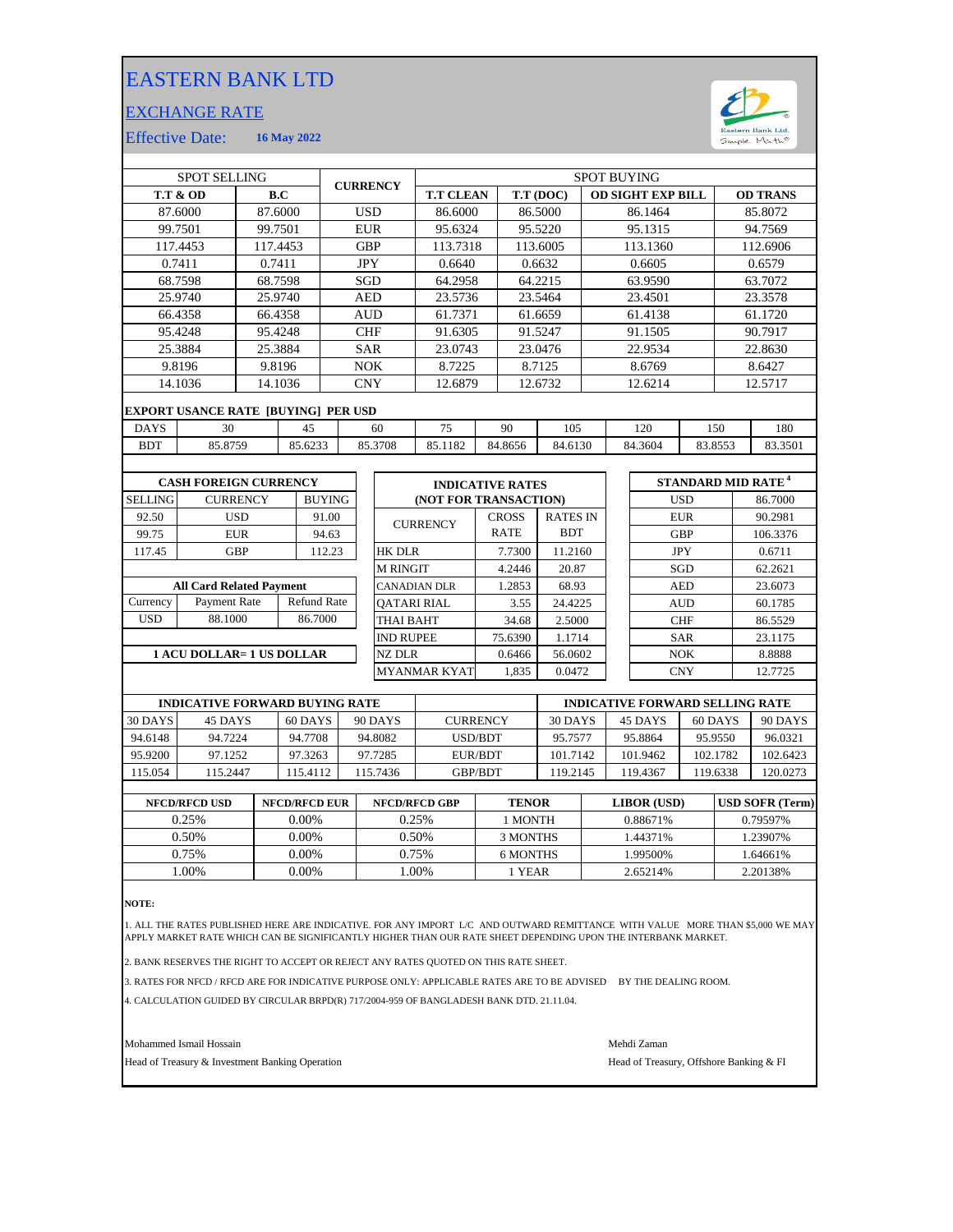## EASTERN BANK LTD

## EXCHANGE RATE



Effective Date: **16 May 2022**

| <b>SPOT SELLING</b>               |                                     |                      |         | <b>CURRENCY</b> |                     | <b>SPOT BUYING</b>      |           |                       |                 |                          |            |                                      |                 |         |          |
|-----------------------------------|-------------------------------------|----------------------|---------|-----------------|---------------------|-------------------------|-----------|-----------------------|-----------------|--------------------------|------------|--------------------------------------|-----------------|---------|----------|
|                                   | <b>T.T &amp; OD</b>                 | B.C                  |         |                 |                     | <b>T.T CLEAN</b>        | T.T (DOC) |                       |                 | <b>OD SIGHT EXP BILL</b> |            |                                      | <b>OD TRANS</b> |         |          |
|                                   | 87.6000                             | 87.6000              |         | <b>USD</b>      |                     | 86.6000                 | 86.5000   |                       |                 | 86.1464                  |            |                                      |                 | 85.8072 |          |
| 99.7501<br>99.7501                |                                     | <b>EUR</b>           |         | 95.6324         |                     | 95.5220                 |           | 95.1315               |                 |                          | 94.7569    |                                      |                 |         |          |
|                                   | 117.4453<br>117.4453                |                      |         | <b>GBP</b>      |                     | 113.7318                |           | 113.6005              |                 | 113.1360                 |            |                                      | 112.6906        |         |          |
|                                   | 0.7411                              | 0.7411               |         |                 | <b>JPY</b>          |                         | 0.6640    | 0.6632                |                 | 0.6605                   |            |                                      | 0.6579          |         |          |
|                                   | 68.7598                             |                      | 68.7598 | <b>SGD</b>      |                     |                         | 64.2958   |                       | 64.2215         |                          | 63.9590    |                                      |                 | 63.7072 |          |
| 25.9740                           |                                     |                      | 25.9740 |                 | <b>AED</b>          |                         | 23.5736   |                       | 23.5464         |                          | 23.4501    |                                      |                 | 23.3578 |          |
|                                   | 66.4358                             | 66.4358              |         |                 | AUD                 |                         | 61.7371   |                       | 61.6659         |                          | 61.4138    |                                      |                 | 61.1720 |          |
| 95.4248                           |                                     |                      | 95.4248 |                 | <b>CHF</b>          |                         | 91.6305   |                       | 91.5247         |                          |            | 91.1505                              |                 | 90.7917 |          |
|                                   | 25.3884                             |                      | 25.3884 | <b>SAR</b>      |                     | 23.0743                 |           | 23.0476               |                 | 22.9534                  |            |                                      | 22.8630         |         |          |
|                                   | 9.8196                              |                      | 9.8196  |                 | <b>NOK</b>          |                         | 8.7225    |                       | 8.7125          |                          | 8.6769     |                                      |                 | 8.6427  |          |
|                                   | 14.1036<br>14.1036                  |                      |         |                 | <b>CNY</b>          |                         | 12.6879   |                       | 12.6732         |                          | 12.6214    |                                      |                 | 12.5717 |          |
|                                   | EXPORT USANCE RATE [BUYING] PER USD |                      |         |                 |                     |                         |           |                       |                 |                          |            |                                      |                 |         |          |
| <b>DAYS</b>                       | 30                                  |                      | 45      |                 | 75<br>60            |                         | 90        | 105                   |                 | 120                      |            | 150                                  |                 | 180     |          |
| <b>BDT</b>                        | 85.8759                             |                      | 85.6233 |                 |                     | 85.3708                 | 85.1182   | 84.8656               |                 | 84.6130                  |            | 84.3604<br>83.8553                   |                 |         | 83.3501  |
|                                   |                                     |                      |         |                 |                     |                         |           |                       |                 |                          |            |                                      |                 |         |          |
| <b>CASH FOREIGN CURRENCY</b>      |                                     |                      |         |                 |                     | <b>INDICATIVE RATES</b> |           |                       |                 |                          |            | <b>STANDARD MID RATE<sup>4</sup></b> |                 |         |          |
| <b>SELLING</b><br><b>CURRENCY</b> |                                     |                      |         | <b>BUYING</b>   |                     |                         |           | (NOT FOR TRANSACTION) |                 |                          |            | <b>USD</b>                           |                 |         | 86.7000  |
| 92.50                             |                                     | <b>USD</b>           |         | 91.00           |                     |                         |           | <b>CROSS</b>          | <b>RATES IN</b> |                          |            |                                      | <b>EUR</b>      |         | 90.2981  |
| 99.75                             |                                     | <b>EUR</b>           |         | 94.63           |                     | <b>CURRENCY</b>         |           | <b>RATE</b>           | <b>BDT</b>      |                          |            |                                      | <b>GBP</b>      |         | 106.3376 |
| 117.45                            |                                     | <b>GBP</b><br>112.23 |         |                 | <b>HK DLR</b>       |                         | 7.7300    |                       | 11.2160         |                          | <b>JPY</b> |                                      | 0.6711          |         |          |
|                                   |                                     |                      |         |                 |                     | <b>M RINGIT</b>         |           | 4.2446                |                 | 20.87                    |            | SGD                                  |                 | 62.2621 |          |
| <b>All Card Related Payment</b>   |                                     |                      |         | CANADIAN DLR    |                     | 1.2853                  | 68.93     |                       |                 |                          | <b>AED</b> |                                      | 23.6073         |         |          |
| Currency                          | <b>Refund Rate</b><br>Payment Rate  |                      |         |                 |                     | <b>OATARI RIAL</b>      |           | 3.55                  | 24.4225         |                          |            |                                      | <b>AUD</b>      |         | 60.1785  |
| <b>USD</b>                        | 88.1000                             |                      | 86.7000 |                 |                     | THAI BAHT               |           | 34.68                 | 2.5000          |                          |            |                                      | <b>CHF</b>      |         | 86.5529  |
|                                   |                                     |                      |         |                 | <b>IND RUPEE</b>    |                         | 75.6390   | 1.1714                |                 |                          |            | <b>SAR</b>                           |                 | 23.1175 |          |
| <b>1 ACU DOLLAR= 1 US DOLLAR</b>  |                                     |                      |         | <b>NZ DLR</b>   |                     | 0.6466                  | 56.0602   |                       |                 |                          | <b>NOK</b> |                                      | 8.8888          |         |          |
|                                   |                                     |                      |         |                 | <b>MYANMAR KYAT</b> | 1,835                   | 0.0472    |                       |                 |                          | <b>CNY</b> |                                      | 12.7725         |         |          |
|                                   |                                     |                      |         |                 |                     |                         |           |                       |                 |                          |            |                                      |                 |         |          |

| <b>INDICATIVE FORWARD BUYING RATE</b> |          |           |         |                 | <b>INDICATIVE FORWARD SELLING RATE</b> |          |          |          |  |  |
|---------------------------------------|----------|-----------|---------|-----------------|----------------------------------------|----------|----------|----------|--|--|
| 30 DAYS                               | 45 DAYS  | $60$ DAYS | 90 DAYS | <b>CURRENCY</b> | 30 DAYS                                | 45 DAYS  | 60 DAYS  | 90 DAYS  |  |  |
| 94.6148                               | 94.7224  | 94.7708   | 94.8082 | USD/BDT         | 95.7577                                | 95.8864  | 95.9550  | 96.0321  |  |  |
| 95.9200                               | 97.1252  | 97.3263   | 97.7285 | EUR/BDT         | 101.7142                               | 101.9462 | 102.1782 | 102.6423 |  |  |
| 115.054                               | 115.2447 | 15.4112   | 15.7436 | GBP/BDT         | 119.2145                               | 119.4367 | 119.6338 | 120.0273 |  |  |
|                                       |          |           |         |                 |                                        |          |          |          |  |  |

| <b>NFCD/RFCD USD</b> | <b>NFCD/RFCD EUR</b> | <b>NFCD/RFCD GBP</b> | <b>TENOR</b> | LIBOR (USD) | <b>USD SOFR (Term)</b> |
|----------------------|----------------------|----------------------|--------------|-------------|------------------------|
| 0.25%                | $0.00\%$             | 0.25%                | I MONTH      | 0.88671%    | 0.79597%               |
| 0.50%                | 0.00%                | 0.50%                | 3 MONTHS     | 44371%      | 1.23907%               |
| 0.75%                | 0.00%                | 0.75%                | 6 MONTHS     | .99500%     | 1.64661%               |
| .00%                 | 0.00%                | .00%                 | 1 YEAR       | 2.65214%    | 2.20138%               |
|                      |                      |                      |              |             |                        |

**NOTE:**

1. ALL THE RATES PUBLISHED HERE ARE INDICATIVE. FOR ANY IMPORT L/C AND OUTWARD REMITTANCE WITH VALUE MORE THAN \$5,000 WE MAY<br>APPLY MARKET RATE WHICH CAN BE SIGNIFICANTLY HIGHER THAN OUR RATE SHEET DEPENDING UPON THE IN

2. BANK RESERVES THE RIGHT TO ACCEPT OR REJECT ANY RATES QUOTED ON THIS RATE SHEET.

3. RATES FOR NFCD / RFCD ARE FOR INDICATIVE PURPOSE ONLY: APPLICABLE RATES ARE TO BE ADVISED BY THE DEALING ROOM.

4. CALCULATION GUIDED BY CIRCULAR BRPD(R) 717/2004-959 OF BANGLADESH BANK DTD. 21.11.04.

Mohammed Ismail Hossain Mehdi Zaman

Head of Treasury & Investment Banking Operation **Head of Treasury, Offshore Banking & FI**